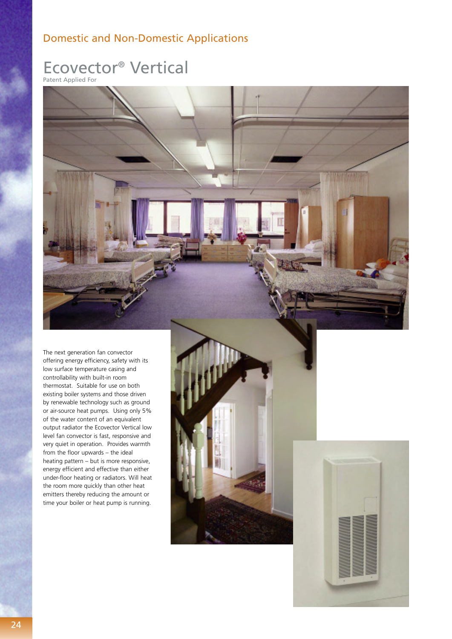## Domestic and Non-Domestic Applications

# Ecovector® Vertical

Patent Applied For



The next generation fan convector offering energy efficiency, safety with its low surface temperature casing and controllability with built-in room thermostat. Suitable for use on both existing boiler systems and those driven by renewable technology such as ground or air-source heat pumps. Using only 5% of the water content of an equivalent output radiator the Ecovector Vertical low level fan convector is fast, responsive and very quiet in operation. Provides warmth from the floor upwards – the ideal heating pattern – but is more responsive, energy efficient and effective than either under-floor heating or radiators. Will heat the room more quickly than other heat emitters thereby reducing the amount or time your boiler or heat pump is running.